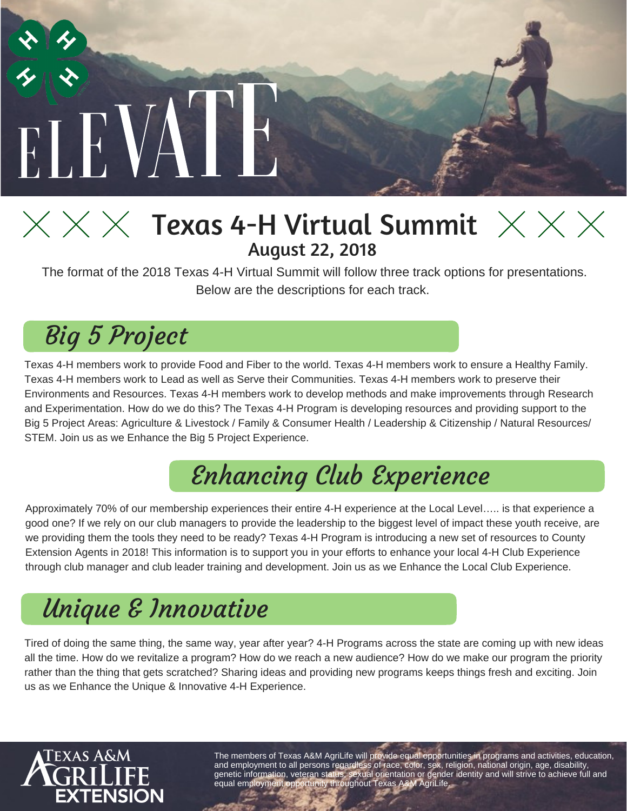

### $\times$   $\times$   $\times$   $\times$  Texas 4-H Virtual Summit  $\times$   $\times$   $\times$ August 22, 2018

The format of the 2018 Texas 4-H Virtual Summit will follow three track options for presentations. Below are the descriptions for each track.

### Big 5 Project

Texas 4-H members work to provide Food and Fiber to the world. Texas 4-H members work to ensure a Healthy Family. Texas 4-H members work to Lead as well as Serve their Communities. Texas 4-H members work to preserve their Environments and Resources. Texas 4-H members work to develop methods and make improvements through Research and Experimentation. How do we do this? The Texas 4-H Program is developing resources and providing support to the Big 5 Project Areas: Agriculture & Livestock / Family & Consumer Health / Leadership & Citizenship / Natural Resources/ STEM. Join us as we Enhance the Big 5 Project Experience.

### Enhancing Club Experience

Approximately 70% of our membership experiences their entire 4-H experience at the Local Level….. is that experience a good one? If we rely on our club managers to provide the leadership to the biggest level of impact these youth receive, are we providing them the tools they need to be ready? Texas 4-H Program is introducing a new set of resources to County Extension Agents in 2018! This information is to support you in your efforts to enhance your local 4-H Club Experience through club manager and club leader training and development. Join us as we Enhance the Local Club Experience.

### Unique & Innovative

Tired of doing the same thing, the same way, year after year? 4-H Programs across the state are coming up with new ideas all the time. How do we revitalize a program? How do we reach a new audience? How do we make our program the priority rather than the thing that gets scratched? Sharing ideas and providing new programs keeps things fresh and exciting. Join us as we Enhance the Unique & Innovative 4-H Experience.



The members of Texas A&M AgriLife will provide equal opportunities in programs and activities, education, and employment to all persons regardless of race, color, sex, religion, national origin, age, disability, genetic information, veteran status, sexual orientation or gender identity and will strive to achieve full and equal employment opportunity throughout Texas A&M AgriLife.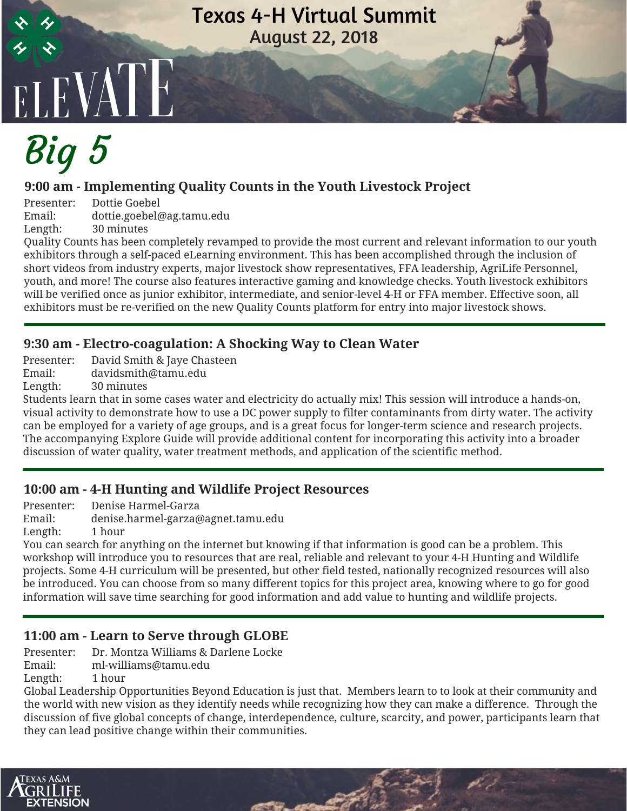#### Texas 4-H Virtual Summit August 22, 2018

# ELEVATE. Big 5

#### **9:00 am - Implementing Quality Counts in the Youth Livestock Project**

Presenter: Dottie Goebel Email: dottie.goebel@ag.tamu.edu Length: 30 minutes

Quality Counts has been completely revamped to provide the most current and relevant information to our youth exhibitors through a self-paced eLearning environment. This has been accomplished through the inclusion of short videos from industry experts, major livestock show representatives, FFA leadership, AgriLife Personnel, youth, and more! The course also features interactive gaming and knowledge checks. Youth livestock exhibitors will be verified once as junior exhibitor, intermediate, and senior-level 4-H or FFA member. Effective soon, all exhibitors must be re-verified on the new Quality Counts platform for entry into major livestock shows.

#### **9:30 am - Electro-coagulation: A Shocking Way to Clean Water**

Presenter: David Smith & Jaye Chasteen

Email: davidsmith@tamu.edu

Length: 30 minutes

Students learn that in some cases water and electricity do actually mix! This session will introduce a hands-on, visual activity to demonstrate how to use a DC power supply to filter contaminants from dirty water. The activity can be employed for a variety of age groups, and is a great focus for longer-term science and research projects. The accompanying Explore Guide will provide additional content for incorporating this activity into a broader discussion of water quality, water treatment methods, and application of the scientific method.

#### **10:00 am - 4-H Hunting and Wildlife Project Resources**

Presenter: Denise Harmel-Garza<br>Email: denise.harmel-garza@

Email: denise.harmel-garza@agnet.tamu.edu

Length: 1 hour

You can search for anything on the internet but knowing if that information is good can be a problem. This workshop will introduce you to resources that are real, reliable and relevant to your 4-H Hunting and Wildlife projects. Some 4-H curriculum will be presented, but other field tested, nationally recognized resources will also be introduced. You can choose from so many different topics for this project area, knowing where to go for good information will save time searching for good information and add value to hunting and wildlife projects.

#### **11:00 am - Learn to Serve through GLOBE**

Presenter: Dr. Montza Williams & Darlene Locke

Email: ml-williams@tamu.edu

Length: 1 hour

Global Leadership Opportunities Beyond Education is just that. Members learn to to look at their community and the world with new vision as they identify needs while recognizing how they can make a difference. Through the discussion of five global concepts of change, interdependence, culture, scarcity, and power, participants learn that they can lead positive change within their communities.

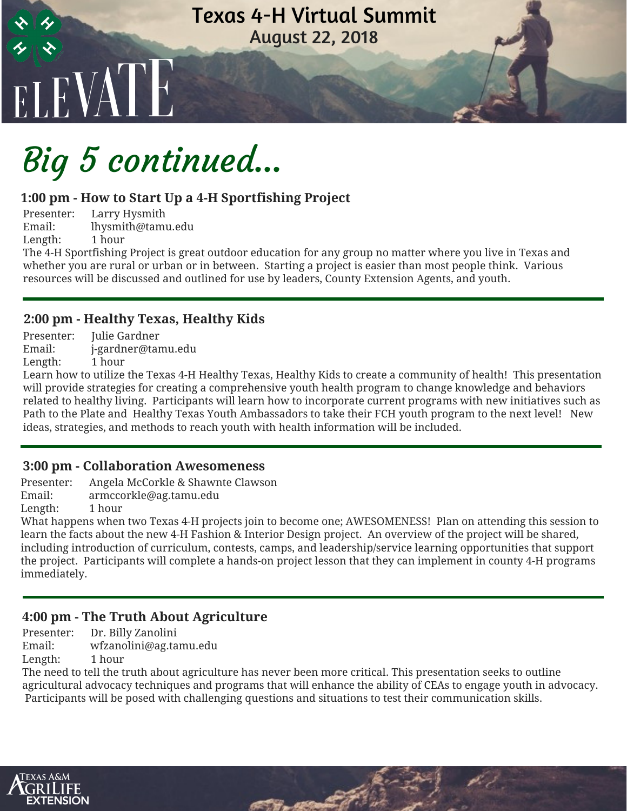#### Texas 4-H Virtual Summit August 22, 2018

# Big 5 continued...

#### **1:00 pm - How to Start Up a 4-H Sportfishing Project**

Presenter: Larry Hysmith<br>Email: lhysmith@tami Email: lhysmith@tamu.edu Length: 1 hour

<sup>E</sup>LEVATE

The 4-H Sportfishing Project is great outdoor education for any group no matter where you live in Texas and whether you are rural or urban or in between. Starting a project is easier than most people think. Various resources will be discussed and outlined for use by leaders, County Extension Agents, and youth.

#### **2:00 pm - Healthy Texas, Healthy Kids**

Presenter: Julie Gardner Email: j-gardner@tamu.edu Length: 1 hour

Learn how to utilize the Texas 4-H Healthy Texas, Healthy Kids to create a community of health! This presentation will provide strategies for creating a comprehensive youth health program to change knowledge and behaviors related to healthy living. Participants will learn how to incorporate current programs with new initiatives such as Path to the Plate and Healthy Texas Youth Ambassadors to take their FCH youth program to the next level! New ideas, strategies, and methods to reach youth with health information will be included.

#### **3:00 pm - Collaboration Awesomeness**

Presenter: Angela McCorkle & Shawnte Clawson

Email: armccorkle@ag.tamu.edu

Length: 1 hour

What happens when two Texas 4-H projects join to become one; AWESOMENESS! Plan on attending this session to learn the facts about the new 4-H Fashion & Interior Design project. An overview of the project will be shared, including introduction of curriculum, contests, camps, and leadership/service learning opportunities that support the project. Participants will complete a hands-on project lesson that they can implement in county 4-H programs immediately.

#### **4:00 pm - The Truth About Agriculture**

Presenter: Dr. Billy Zanolini

Email: wfzanolini@ag.tamu.edu

Length: 1 hour

The need to tell the truth about agriculture has never been more critical. This presentation seeks to outline agricultural advocacy techniques and programs that will enhance the ability of CEAs to engage youth in advocacy. Participants will be posed with challenging questions and situations to test their communication skills.

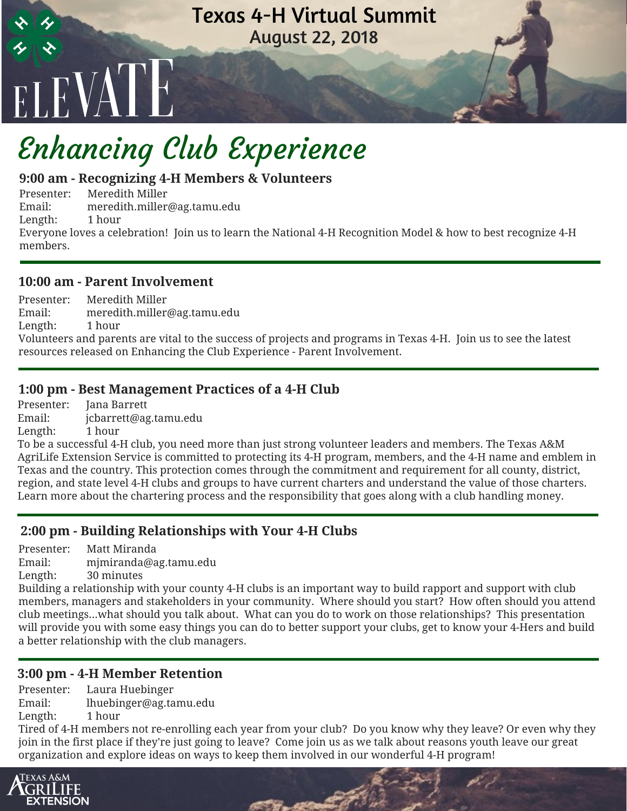

### Enhancing Club Experience

#### **9:00 am - Recognizing 4-H Members & Volunteers**

Presenter: Meredith Miller Email: meredith.miller@ag.tamu.edu Length: 1 hour Everyone loves a celebration! Join us to learn the National 4-H Recognition Model & how to best recognize 4-H members.

#### **10:00 am - Parent Involvement**

Presenter: Meredith Miller Email: meredith.miller@ag.tamu.edu Length: 1 hour Volunteers and parents are vital to the success of projects and programs in Texas 4-H. Join us to see the latest resources released on Enhancing the Club Experience - Parent Involvement.

#### **1:00 pm - Best Management Practices of a 4-H Club**

Presenter: Jana Barrett Email: jcbarrett@ag.tamu.edu Length: 1 hour

To be a successful 4-H club, you need more than just strong volunteer leaders and members. The Texas A&M AgriLife Extension Service is committed to protecting its 4-H program, members, and the 4-H name and emblem in Texas and the country. This protection comes through the commitment and requirement for all county, district, region, and state level 4-H clubs and groups to have current charters and understand the value of those charters. Learn more about the chartering process and the responsibility that goes along with a club handling money.

#### **2:00 pm - Building Relationships with Your 4-H Clubs**

Presenter: Matt Miranda Email: mjmiranda@ag.tamu.edu Length: 30 minutes

Building a relationship with your county 4-H clubs is an important way to build rapport and support with club members, managers and stakeholders in your community. Where should you start? How often should you attend club meetings...what should you talk about. What can you do to work on those relationships? This presentation will provide you with some easy things you can do to better support your clubs, get to know your 4-Hers and build a better relationship with the club managers.

#### **3:00 pm - 4-H Member Retention**

Presenter: Laura Huebinger Email: lhuebinger@ag.tamu.edu Length: 1 hour

Tired of 4-H members not re-enrolling each year from your club? Do you know why they leave? Or even why they join in the first place if they're just going to leave? Come join us as we talk about reasons youth leave our great organization and explore ideas on ways to keep them involved in our wonderful 4-H program!

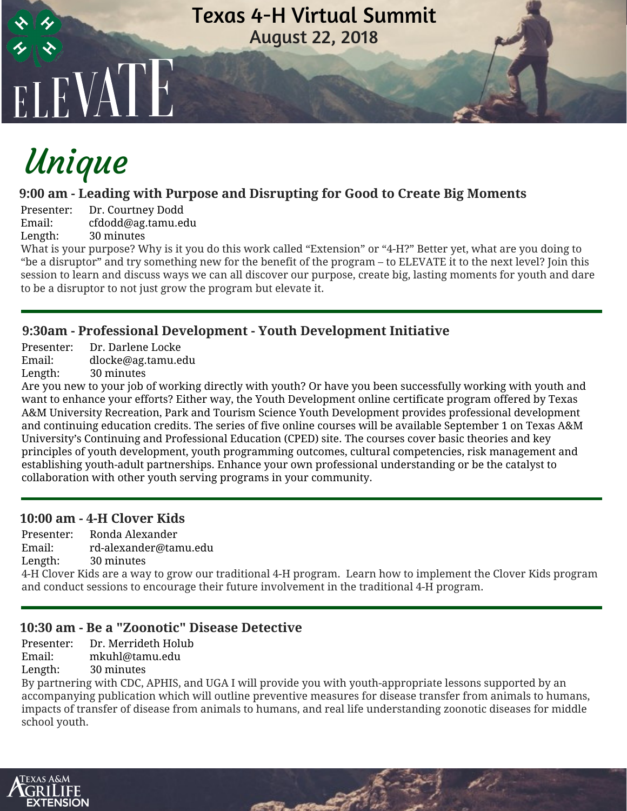

### Unique

#### **9:00 am - Leading with Purpose and Disrupting for Good to Create Big Moments**

Presenter: Dr. Courtney Dodd Email: cfdodd@ag.tamu.edu Length: 30 minutes

What is your purpose? Why is it you do this work called "Extension" or "4-H?" Better yet, what are you doing to "be a disruptor" and try something new for the benefit of the program – to ELEVATE it to the next level? Join this session to learn and discuss ways we can all discover our purpose, create big, lasting moments for youth and dare to be a disruptor to not just grow the program but elevate it.

#### **9:30am - Professional Development - Youth Development Initiative**

Presenter: Dr. Darlene Locke

Email: dlocke@ag.tamu.edu

Length: 30 minutes

Are you new to your job of working directly with youth? Or have you been successfully working with youth and want to enhance your efforts? Either way, the Youth Development online certificate program offered by Texas A&M University Recreation, Park and Tourism Science Youth Development provides professional development and continuing education credits. The series of five online courses will be available September 1 on Texas A&M University's Continuing and Professional Education (CPED) site. The courses cover basic theories and key principles of youth development, youth programming outcomes, cultural competencies, risk management and establishing youth-adult partnerships. Enhance your own professional understanding or be the catalyst to collaboration with other youth serving programs in your community.

#### **10:00 am - 4-H Clover Kids**

Presenter: Ronda Alexander Email: rd-alexander@tamu.edu Length: 30 minutes

4-H Clover Kids are a way to grow our traditional 4-H program. Learn how to implement the Clover Kids program and conduct sessions to encourage their future involvement in the traditional 4-H program.

#### **10:30 am - Be a "Zoonotic" Disease Detective**

Presenter: Dr. Merrideth Holub

Email: mkuhl@tamu.edu

Length: 30 minutes

By partnering with CDC, APHIS, and UGA I will provide you with youth-appropriate lessons supported by an accompanying publication which will outline preventive measures for disease transfer from animals to humans, impacts of transfer of disease from animals to humans, and real life understanding zoonotic diseases for middle school youth.

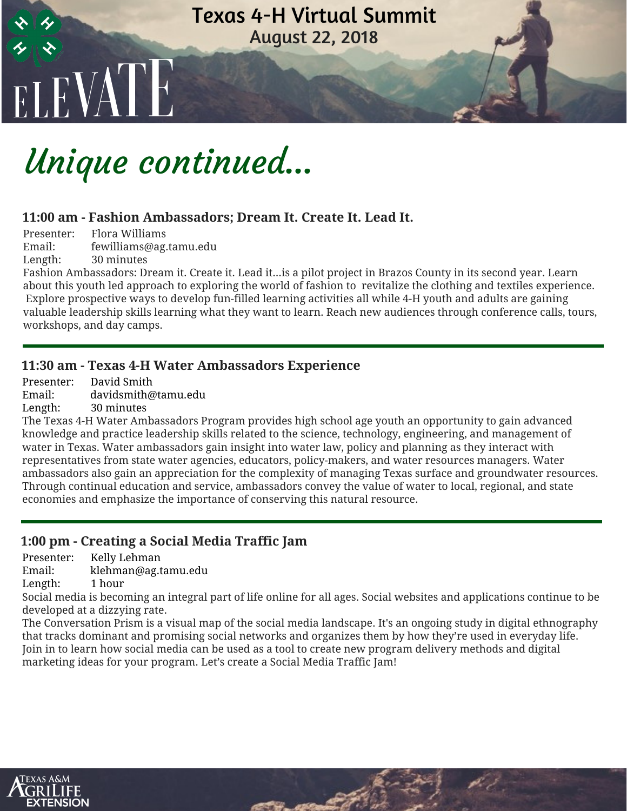# ELEVATE Texas 4-H Virtual Summit August 22, 2018

### Unique continued...

#### **11:00 am - Fashion Ambassadors; Dream It. Create It. Lead It.**

Presenter: Flora Williams Email: fewilliams@ag.tamu.edu Length: 30 minutes

Fashion Ambassadors: Dream it. Create it. Lead it...is a pilot project in Brazos County in its second year. Learn about this youth led approach to exploring the world of fashion to revitalize the clothing and textiles experience. Explore prospective ways to develop fun-filled learning activities all while 4-H youth and adults are gaining valuable leadership skills learning what they want to learn. Reach new audiences through conference calls, tours, workshops, and day camps.

#### **11:30 am - Texas 4-H Water Ambassadors Experience**

Presenter: David Smith Email: davidsmith@tamu.edu Length: 30 minutes

The Texas 4-H Water Ambassadors Program provides high school age youth an opportunity to gain advanced knowledge and practice leadership skills related to the science, technology, engineering, and management of water in Texas. Water ambassadors gain insight into water law, policy and planning as they interact with representatives from state water agencies, educators, policy-makers, and water resources managers. Water ambassadors also gain an appreciation for the complexity of managing Texas surface and groundwater resources. Through continual education and service, ambassadors convey the value of water to local, regional, and state economies and emphasize the importance of conserving this natural resource.

#### **1:00 pm - Creating a Social Media Traffic Jam**

Presenter: Kelly Lehman

Email: klehman@ag.tamu.edu

Length: 1 hour

Social media is becoming an integral part of life online for all ages. Social websites and applications continue to be developed at a dizzying rate.

The Conversation Prism is a visual map of the social media landscape. It's an ongoing study in digital ethnography that tracks dominant and promising social networks and organizes them by how they're used in everyday life. Join in to learn how social media can be used as a tool to create new program delivery methods and digital marketing ideas for your program. Let's create a Social Media Traffic Jam!